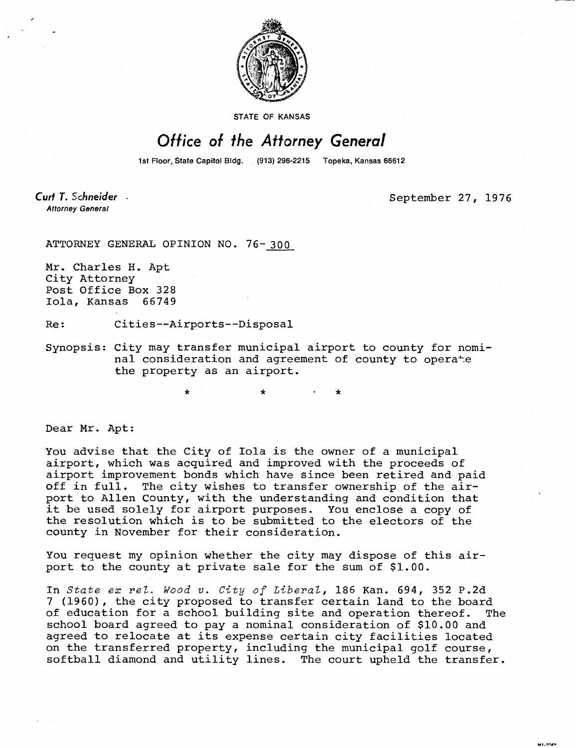

STATE OF KANSAS

## Office of the Attorney General

1st Floor, State Capitol Bldg. (913) 296-2215 Topeka, Kansas 66612

**Curt T.** Schneider **Attorney General** 

September 27, 1976

**MIL1049** 

ATTORNEY GENERAL OPINION NO. 76-300

Mr. Charles H. Apt City Attorney Post Office Box 328 Iola, Kansas 66749

Re: Cities--Airports--Disposal

\*

Synopsis: City may transfer municipal airport to county for nominal consideration and agreement of county to operate the property as an airport.

Dear Mr. Apt:

You advise that the City of Iola is the owner of a municipal airport, which was acquired and improved with the proceeds of airport improvement bonds which have since been retired and paid off in full. The city wishes to transfer ownership of the airport to Allen County, with the understanding and condition that it be used solely for airport purposes. You enclose a copy of the resolution which is to be submitted to the electors of the county in November for their consideration.

You request my opinion whether the city may dispose of this airport to the county at private sale for the sum of \$1.00.

In *State ex rel. Wood* v. *City* of *Liberal,* 186 Kan. 694, 352 P.2d 7 (1960), the city proposed to transfer certain land to the board of education for a school building site and operation thereof. The school board agreed to pay a nominal consideration of \$10.00 and agreed to relocate at its expense certain city facilities located on the transferred property, including the municipal golf course, softball diamond and utility lines. The court upheld the transfer.